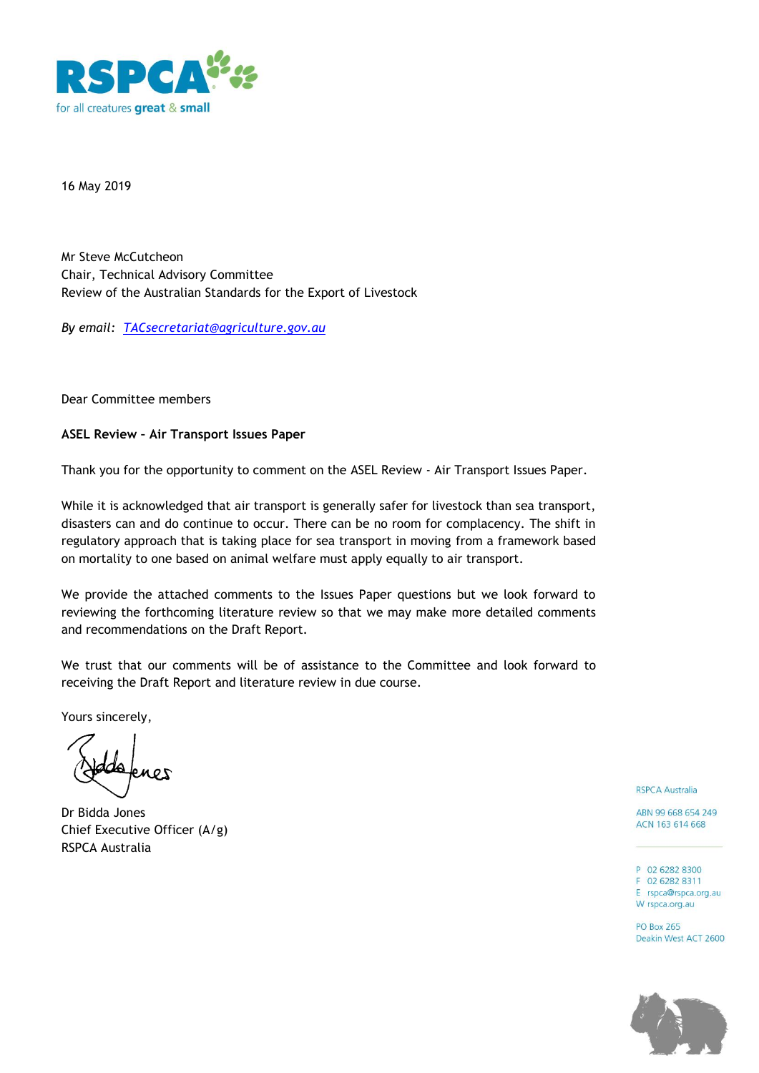

16 May 2019

Mr Steve McCutcheon Chair, Technical Advisory Committee Review of the Australian Standards for the Export of Livestock

*By email: [TACsecretariat@agriculture.gov.au](mailto:TACsecretariat@agriculture.gov.au)*

Dear Committee members

## **ASEL Review – Air Transport Issues Paper**

Thank you for the opportunity to comment on the ASEL Review - Air Transport Issues Paper.

While it is acknowledged that air transport is generally safer for livestock than sea transport, disasters can and do continue to occur. There can be no room for complacency. The shift in regulatory approach that is taking place for sea transport in moving from a framework based on mortality to one based on animal welfare must apply equally to air transport.

We provide the attached comments to the Issues Paper questions but we look forward to reviewing the forthcoming literature review so that we may make more detailed comments and recommendations on the Draft Report.

We trust that our comments will be of assistance to the Committee and look forward to receiving the Draft Report and literature review in due course.

Yours sincerely,

Dr Bidda Jones Chief Executive Officer (A/g) RSPCA Australia

**RSPCA Australia** 

ABN 99 668 654 249 ACN 163 614 668

P 02 6282 8300 F 02 6282 8311

E rspca@rspca.org.au W rspca.org.au

**PO Box 265** Deakin West ACT 2600

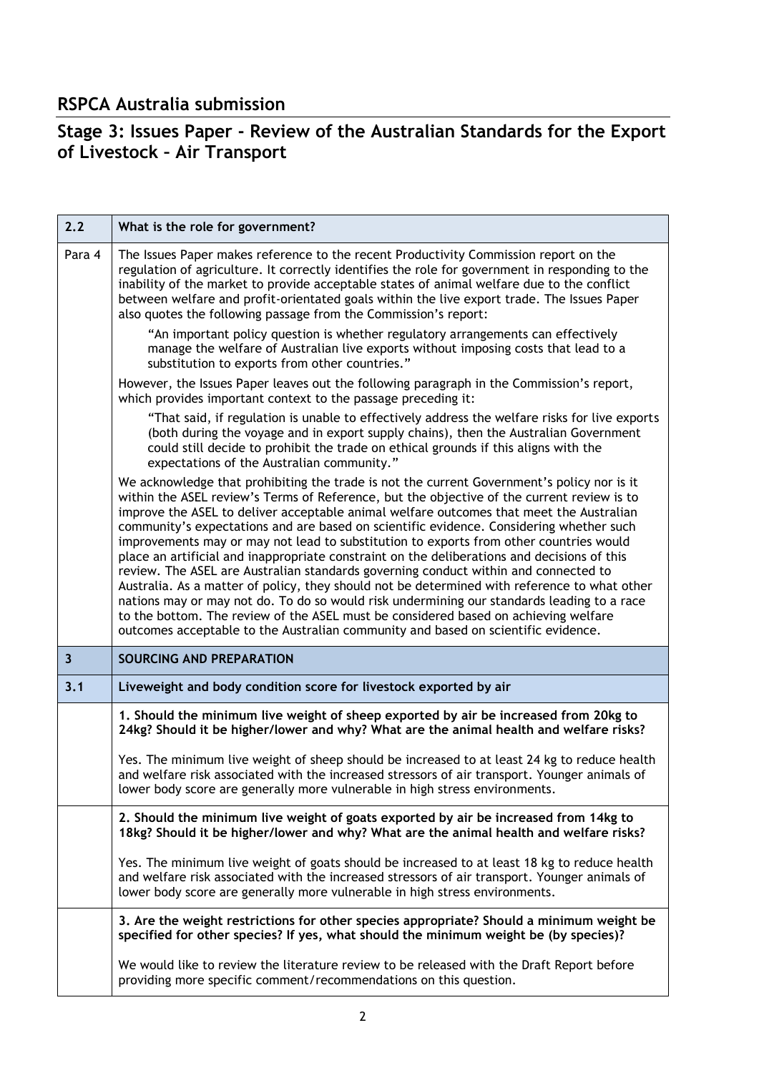## **RSPCA Australia submission**

## **Stage 3: Issues Paper - Review of the Australian Standards for the Export of Livestock – Air Transport**

| 2.2                     | What is the role for government?                                                                                                                                                                                                                                                                                                                                                                                                                                                                                                                                                                                                                                                                                                                                                                                                                                                                                                                                                                                                         |
|-------------------------|------------------------------------------------------------------------------------------------------------------------------------------------------------------------------------------------------------------------------------------------------------------------------------------------------------------------------------------------------------------------------------------------------------------------------------------------------------------------------------------------------------------------------------------------------------------------------------------------------------------------------------------------------------------------------------------------------------------------------------------------------------------------------------------------------------------------------------------------------------------------------------------------------------------------------------------------------------------------------------------------------------------------------------------|
| Para 4                  | The Issues Paper makes reference to the recent Productivity Commission report on the<br>regulation of agriculture. It correctly identifies the role for government in responding to the<br>inability of the market to provide acceptable states of animal welfare due to the conflict<br>between welfare and profit-orientated goals within the live export trade. The Issues Paper<br>also quotes the following passage from the Commission's report:                                                                                                                                                                                                                                                                                                                                                                                                                                                                                                                                                                                   |
|                         | "An important policy question is whether regulatory arrangements can effectively<br>manage the welfare of Australian live exports without imposing costs that lead to a<br>substitution to exports from other countries."                                                                                                                                                                                                                                                                                                                                                                                                                                                                                                                                                                                                                                                                                                                                                                                                                |
|                         | However, the Issues Paper leaves out the following paragraph in the Commission's report,<br>which provides important context to the passage preceding it:                                                                                                                                                                                                                                                                                                                                                                                                                                                                                                                                                                                                                                                                                                                                                                                                                                                                                |
|                         | "That said, if regulation is unable to effectively address the welfare risks for live exports<br>(both during the voyage and in export supply chains), then the Australian Government<br>could still decide to prohibit the trade on ethical grounds if this aligns with the<br>expectations of the Australian community."                                                                                                                                                                                                                                                                                                                                                                                                                                                                                                                                                                                                                                                                                                               |
|                         | We acknowledge that prohibiting the trade is not the current Government's policy nor is it<br>within the ASEL review's Terms of Reference, but the objective of the current review is to<br>improve the ASEL to deliver acceptable animal welfare outcomes that meet the Australian<br>community's expectations and are based on scientific evidence. Considering whether such<br>improvements may or may not lead to substitution to exports from other countries would<br>place an artificial and inappropriate constraint on the deliberations and decisions of this<br>review. The ASEL are Australian standards governing conduct within and connected to<br>Australia. As a matter of policy, they should not be determined with reference to what other<br>nations may or may not do. To do so would risk undermining our standards leading to a race<br>to the bottom. The review of the ASEL must be considered based on achieving welfare<br>outcomes acceptable to the Australian community and based on scientific evidence. |
| $\overline{\mathbf{3}}$ | SOURCING AND PREPARATION                                                                                                                                                                                                                                                                                                                                                                                                                                                                                                                                                                                                                                                                                                                                                                                                                                                                                                                                                                                                                 |
| 3.1                     | Liveweight and body condition score for livestock exported by air                                                                                                                                                                                                                                                                                                                                                                                                                                                                                                                                                                                                                                                                                                                                                                                                                                                                                                                                                                        |
|                         | 1. Should the minimum live weight of sheep exported by air be increased from 20kg to<br>24kg? Should it be higher/lower and why? What are the animal health and welfare risks?                                                                                                                                                                                                                                                                                                                                                                                                                                                                                                                                                                                                                                                                                                                                                                                                                                                           |
|                         | Yes. The minimum live weight of sheep should be increased to at least 24 kg to reduce health<br>and welfare risk associated with the increased stressors of air transport. Younger animals of<br>lower body score are generally more vulnerable in high stress environments.                                                                                                                                                                                                                                                                                                                                                                                                                                                                                                                                                                                                                                                                                                                                                             |
|                         | 2. Should the minimum live weight of goats exported by air be increased from 14kg to<br>18kg? Should it be higher/lower and why? What are the animal health and welfare risks?                                                                                                                                                                                                                                                                                                                                                                                                                                                                                                                                                                                                                                                                                                                                                                                                                                                           |
|                         | Yes. The minimum live weight of goats should be increased to at least 18 kg to reduce health<br>and welfare risk associated with the increased stressors of air transport. Younger animals of<br>lower body score are generally more vulnerable in high stress environments.                                                                                                                                                                                                                                                                                                                                                                                                                                                                                                                                                                                                                                                                                                                                                             |
|                         | 3. Are the weight restrictions for other species appropriate? Should a minimum weight be<br>specified for other species? If yes, what should the minimum weight be (by species)?                                                                                                                                                                                                                                                                                                                                                                                                                                                                                                                                                                                                                                                                                                                                                                                                                                                         |
|                         | We would like to review the literature review to be released with the Draft Report before<br>providing more specific comment/recommendations on this question.                                                                                                                                                                                                                                                                                                                                                                                                                                                                                                                                                                                                                                                                                                                                                                                                                                                                           |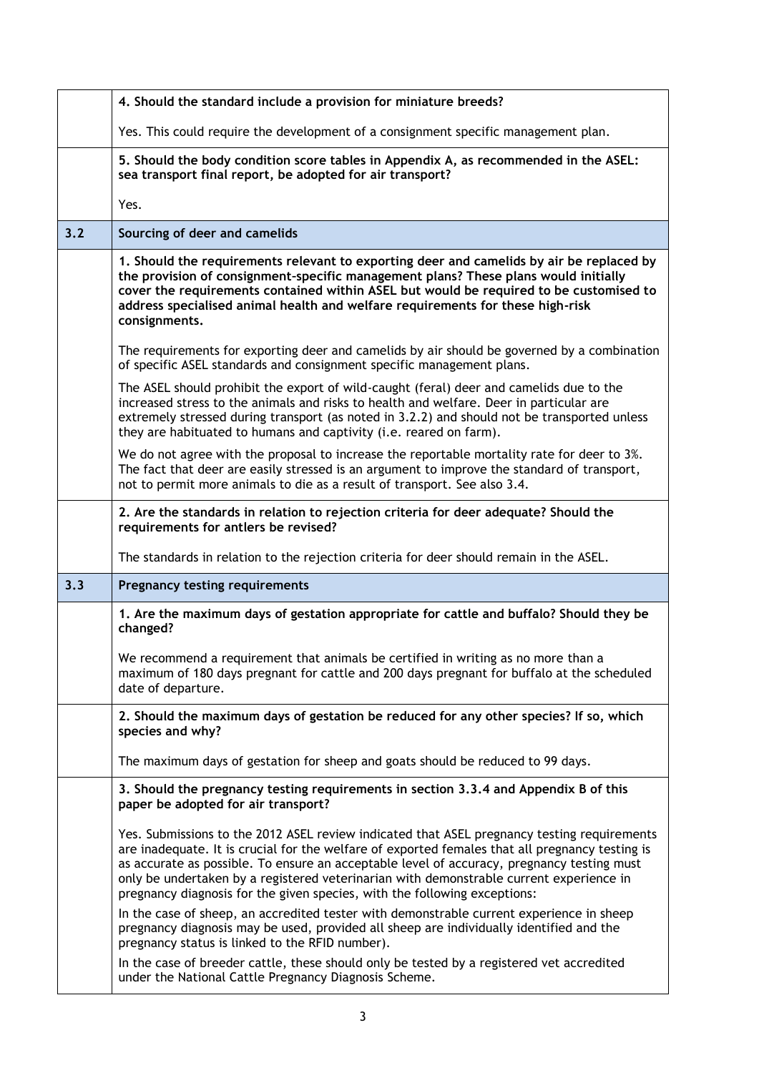|     | 4. Should the standard include a provision for miniature breeds?                                                                                                                                                                                                                                                                                                                                                                                                     |
|-----|----------------------------------------------------------------------------------------------------------------------------------------------------------------------------------------------------------------------------------------------------------------------------------------------------------------------------------------------------------------------------------------------------------------------------------------------------------------------|
|     | Yes. This could require the development of a consignment specific management plan.                                                                                                                                                                                                                                                                                                                                                                                   |
|     | 5. Should the body condition score tables in Appendix A, as recommended in the ASEL:<br>sea transport final report, be adopted for air transport?                                                                                                                                                                                                                                                                                                                    |
|     | Yes.                                                                                                                                                                                                                                                                                                                                                                                                                                                                 |
| 3.2 | Sourcing of deer and camelids                                                                                                                                                                                                                                                                                                                                                                                                                                        |
|     | 1. Should the requirements relevant to exporting deer and camelids by air be replaced by<br>the provision of consignment-specific management plans? These plans would initially<br>cover the requirements contained within ASEL but would be required to be customised to<br>address specialised animal health and welfare requirements for these high-risk<br>consignments.                                                                                         |
|     | The requirements for exporting deer and camelids by air should be governed by a combination<br>of specific ASEL standards and consignment specific management plans.                                                                                                                                                                                                                                                                                                 |
|     | The ASEL should prohibit the export of wild-caught (feral) deer and camelids due to the<br>increased stress to the animals and risks to health and welfare. Deer in particular are<br>extremely stressed during transport (as noted in 3.2.2) and should not be transported unless<br>they are habituated to humans and captivity (i.e. reared on farm).                                                                                                             |
|     | We do not agree with the proposal to increase the reportable mortality rate for deer to 3%.<br>The fact that deer are easily stressed is an argument to improve the standard of transport,<br>not to permit more animals to die as a result of transport. See also 3.4.                                                                                                                                                                                              |
|     | 2. Are the standards in relation to rejection criteria for deer adequate? Should the<br>requirements for antlers be revised?                                                                                                                                                                                                                                                                                                                                         |
|     |                                                                                                                                                                                                                                                                                                                                                                                                                                                                      |
|     | The standards in relation to the rejection criteria for deer should remain in the ASEL.                                                                                                                                                                                                                                                                                                                                                                              |
| 3.3 | <b>Pregnancy testing requirements</b>                                                                                                                                                                                                                                                                                                                                                                                                                                |
|     | 1. Are the maximum days of gestation appropriate for cattle and buffalo? Should they be<br>changed?                                                                                                                                                                                                                                                                                                                                                                  |
|     | We recommend a requirement that animals be certified in writing as no more than a<br>maximum of 180 days pregnant for cattle and 200 days pregnant for buffalo at the scheduled<br>date of departure.                                                                                                                                                                                                                                                                |
|     | 2. Should the maximum days of gestation be reduced for any other species? If so, which<br>species and why?                                                                                                                                                                                                                                                                                                                                                           |
|     | The maximum days of gestation for sheep and goats should be reduced to 99 days.                                                                                                                                                                                                                                                                                                                                                                                      |
|     | 3. Should the pregnancy testing requirements in section 3.3.4 and Appendix B of this<br>paper be adopted for air transport?                                                                                                                                                                                                                                                                                                                                          |
|     | Yes. Submissions to the 2012 ASEL review indicated that ASEL pregnancy testing requirements<br>are inadequate. It is crucial for the welfare of exported females that all pregnancy testing is<br>as accurate as possible. To ensure an acceptable level of accuracy, pregnancy testing must<br>only be undertaken by a registered veterinarian with demonstrable current experience in<br>pregnancy diagnosis for the given species, with the following exceptions: |
|     | In the case of sheep, an accredited tester with demonstrable current experience in sheep<br>pregnancy diagnosis may be used, provided all sheep are individually identified and the<br>pregnancy status is linked to the RFID number).                                                                                                                                                                                                                               |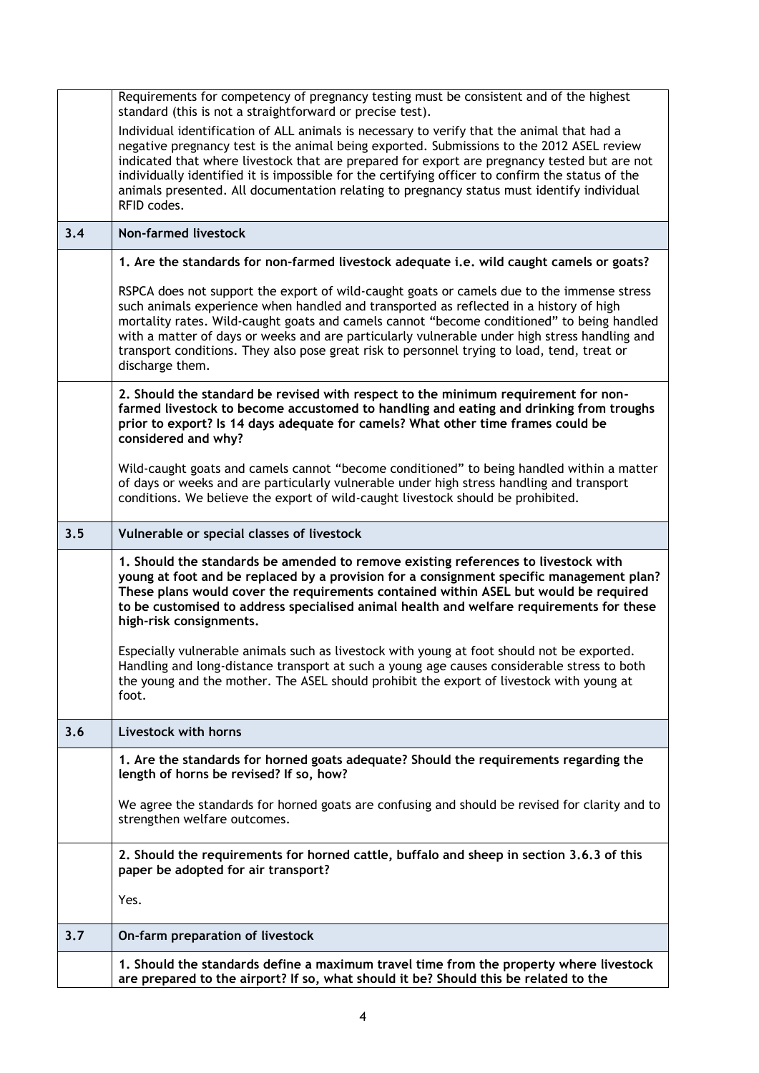|     | Requirements for competency of pregnancy testing must be consistent and of the highest<br>standard (this is not a straightforward or precise test).                                                                                                                                                                                                                                                                                                                                                      |
|-----|----------------------------------------------------------------------------------------------------------------------------------------------------------------------------------------------------------------------------------------------------------------------------------------------------------------------------------------------------------------------------------------------------------------------------------------------------------------------------------------------------------|
|     | Individual identification of ALL animals is necessary to verify that the animal that had a<br>negative pregnancy test is the animal being exported. Submissions to the 2012 ASEL review<br>indicated that where livestock that are prepared for export are pregnancy tested but are not<br>individually identified it is impossible for the certifying officer to confirm the status of the<br>animals presented. All documentation relating to pregnancy status must identify individual<br>RFID codes. |
| 3.4 | <b>Non-farmed livestock</b>                                                                                                                                                                                                                                                                                                                                                                                                                                                                              |
|     | 1. Are the standards for non-farmed livestock adequate i.e. wild caught camels or goats?                                                                                                                                                                                                                                                                                                                                                                                                                 |
|     | RSPCA does not support the export of wild-caught goats or camels due to the immense stress<br>such animals experience when handled and transported as reflected in a history of high<br>mortality rates. Wild-caught goats and camels cannot "become conditioned" to being handled<br>with a matter of days or weeks and are particularly vulnerable under high stress handling and<br>transport conditions. They also pose great risk to personnel trying to load, tend, treat or<br>discharge them.    |
|     | 2. Should the standard be revised with respect to the minimum requirement for non-<br>farmed livestock to become accustomed to handling and eating and drinking from troughs<br>prior to export? Is 14 days adequate for camels? What other time frames could be<br>considered and why?                                                                                                                                                                                                                  |
|     | Wild-caught goats and camels cannot "become conditioned" to being handled within a matter<br>of days or weeks and are particularly vulnerable under high stress handling and transport<br>conditions. We believe the export of wild-caught livestock should be prohibited.                                                                                                                                                                                                                               |
| 3.5 | Vulnerable or special classes of livestock                                                                                                                                                                                                                                                                                                                                                                                                                                                               |
|     | 1. Should the standards be amended to remove existing references to livestock with<br>young at foot and be replaced by a provision for a consignment specific management plan?<br>These plans would cover the requirements contained within ASEL but would be required<br>to be customised to address specialised animal health and welfare requirements for these<br>high-risk consignments.                                                                                                            |
|     | Especially vulnerable animals such as livestock with young at foot should not be exported.<br>Handling and long-distance transport at such a young age causes considerable stress to both<br>the young and the mother. The ASEL should prohibit the export of livestock with young at<br>foot.                                                                                                                                                                                                           |
| 3.6 | Livestock with horns                                                                                                                                                                                                                                                                                                                                                                                                                                                                                     |
|     | 1. Are the standards for horned goats adequate? Should the requirements regarding the<br>length of horns be revised? If so, how?                                                                                                                                                                                                                                                                                                                                                                         |
|     | We agree the standards for horned goats are confusing and should be revised for clarity and to<br>strengthen welfare outcomes.                                                                                                                                                                                                                                                                                                                                                                           |
|     | 2. Should the requirements for horned cattle, buffalo and sheep in section 3.6.3 of this<br>paper be adopted for air transport?                                                                                                                                                                                                                                                                                                                                                                          |
|     | Yes.                                                                                                                                                                                                                                                                                                                                                                                                                                                                                                     |
| 3.7 | On-farm preparation of livestock                                                                                                                                                                                                                                                                                                                                                                                                                                                                         |
|     | 1. Should the standards define a maximum travel time from the property where livestock<br>are prepared to the airport? If so, what should it be? Should this be related to the                                                                                                                                                                                                                                                                                                                           |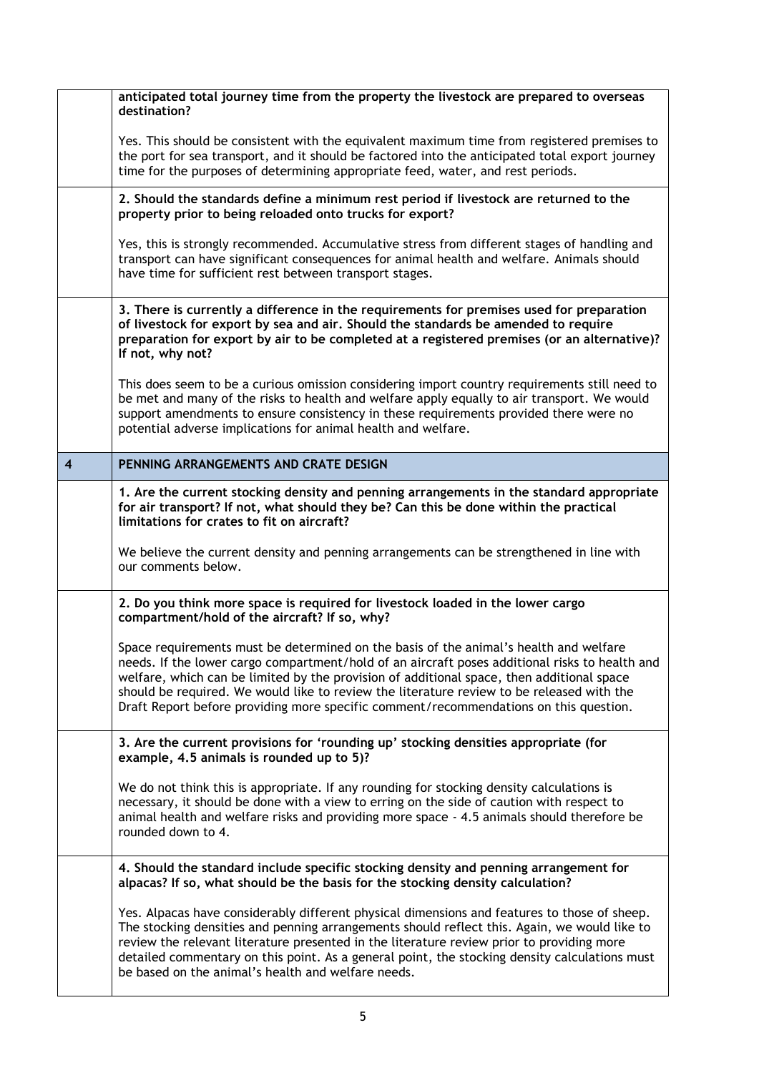|                | anticipated total journey time from the property the livestock are prepared to overseas<br>destination?                                                                                                                                                                                                                                                                                                                                                                    |
|----------------|----------------------------------------------------------------------------------------------------------------------------------------------------------------------------------------------------------------------------------------------------------------------------------------------------------------------------------------------------------------------------------------------------------------------------------------------------------------------------|
|                | Yes. This should be consistent with the equivalent maximum time from registered premises to<br>the port for sea transport, and it should be factored into the anticipated total export journey<br>time for the purposes of determining appropriate feed, water, and rest periods.                                                                                                                                                                                          |
|                | 2. Should the standards define a minimum rest period if livestock are returned to the<br>property prior to being reloaded onto trucks for export?                                                                                                                                                                                                                                                                                                                          |
|                | Yes, this is strongly recommended. Accumulative stress from different stages of handling and<br>transport can have significant consequences for animal health and welfare. Animals should<br>have time for sufficient rest between transport stages.                                                                                                                                                                                                                       |
|                | 3. There is currently a difference in the requirements for premises used for preparation<br>of livestock for export by sea and air. Should the standards be amended to require<br>preparation for export by air to be completed at a registered premises (or an alternative)?<br>If not, why not?                                                                                                                                                                          |
|                | This does seem to be a curious omission considering import country requirements still need to<br>be met and many of the risks to health and welfare apply equally to air transport. We would<br>support amendments to ensure consistency in these requirements provided there were no<br>potential adverse implications for animal health and welfare.                                                                                                                     |
| $\overline{4}$ | PENNING ARRANGEMENTS AND CRATE DESIGN                                                                                                                                                                                                                                                                                                                                                                                                                                      |
|                | 1. Are the current stocking density and penning arrangements in the standard appropriate<br>for air transport? If not, what should they be? Can this be done within the practical<br>limitations for crates to fit on aircraft?<br>We believe the current density and penning arrangements can be strengthened in line with<br>our comments below.                                                                                                                         |
|                | 2. Do you think more space is required for livestock loaded in the lower cargo<br>compartment/hold of the aircraft? If so, why?                                                                                                                                                                                                                                                                                                                                            |
|                | Space requirements must be determined on the basis of the animal's health and welfare<br>needs. If the lower cargo compartment/hold of an aircraft poses additional risks to health and<br>welfare, which can be limited by the provision of additional space, then additional space<br>should be required. We would like to review the literature review to be released with the<br>Draft Report before providing more specific comment/recommendations on this question. |
|                | 3. Are the current provisions for 'rounding up' stocking densities appropriate (for<br>example, 4.5 animals is rounded up to 5)?                                                                                                                                                                                                                                                                                                                                           |
|                | We do not think this is appropriate. If any rounding for stocking density calculations is<br>necessary, it should be done with a view to erring on the side of caution with respect to<br>animal health and welfare risks and providing more space - 4.5 animals should therefore be<br>rounded down to 4.                                                                                                                                                                 |
|                | 4. Should the standard include specific stocking density and penning arrangement for<br>alpacas? If so, what should be the basis for the stocking density calculation?                                                                                                                                                                                                                                                                                                     |
|                | Yes. Alpacas have considerably different physical dimensions and features to those of sheep.<br>The stocking densities and penning arrangements should reflect this. Again, we would like to<br>review the relevant literature presented in the literature review prior to providing more<br>detailed commentary on this point. As a general point, the stocking density calculations must<br>be based on the animal's health and welfare needs.                           |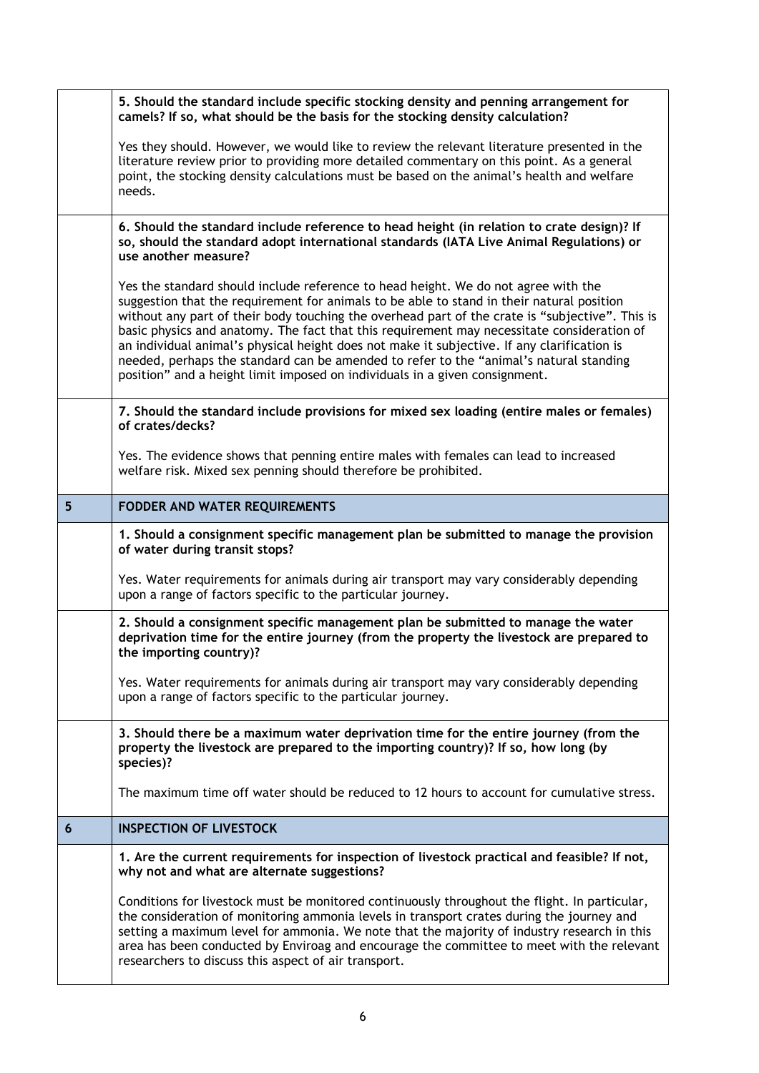|                | 5. Should the standard include specific stocking density and penning arrangement for<br>camels? If so, what should be the basis for the stocking density calculation?                                                                                                                                                                                                                                                                                                                                                                                                                                                                                    |
|----------------|----------------------------------------------------------------------------------------------------------------------------------------------------------------------------------------------------------------------------------------------------------------------------------------------------------------------------------------------------------------------------------------------------------------------------------------------------------------------------------------------------------------------------------------------------------------------------------------------------------------------------------------------------------|
|                | Yes they should. However, we would like to review the relevant literature presented in the<br>literature review prior to providing more detailed commentary on this point. As a general<br>point, the stocking density calculations must be based on the animal's health and welfare<br>needs.                                                                                                                                                                                                                                                                                                                                                           |
|                | 6. Should the standard include reference to head height (in relation to crate design)? If<br>so, should the standard adopt international standards (IATA Live Animal Regulations) or<br>use another measure?                                                                                                                                                                                                                                                                                                                                                                                                                                             |
|                | Yes the standard should include reference to head height. We do not agree with the<br>suggestion that the requirement for animals to be able to stand in their natural position<br>without any part of their body touching the overhead part of the crate is "subjective". This is<br>basic physics and anatomy. The fact that this requirement may necessitate consideration of<br>an individual animal's physical height does not make it subjective. If any clarification is<br>needed, perhaps the standard can be amended to refer to the "animal's natural standing<br>position" and a height limit imposed on individuals in a given consignment. |
|                | 7. Should the standard include provisions for mixed sex loading (entire males or females)<br>of crates/decks?                                                                                                                                                                                                                                                                                                                                                                                                                                                                                                                                            |
|                | Yes. The evidence shows that penning entire males with females can lead to increased<br>welfare risk. Mixed sex penning should therefore be prohibited.                                                                                                                                                                                                                                                                                                                                                                                                                                                                                                  |
| 5 <sub>5</sub> | FODDER AND WATER REQUIREMENTS                                                                                                                                                                                                                                                                                                                                                                                                                                                                                                                                                                                                                            |
|                | 1. Should a consignment specific management plan be submitted to manage the provision<br>of water during transit stops?                                                                                                                                                                                                                                                                                                                                                                                                                                                                                                                                  |
|                | Yes. Water requirements for animals during air transport may vary considerably depending<br>upon a range of factors specific to the particular journey.                                                                                                                                                                                                                                                                                                                                                                                                                                                                                                  |
|                | 2. Should a consignment specific management plan be submitted to manage the water<br>deprivation time for the entire journey (from the property the livestock are prepared to<br>the importing country)?                                                                                                                                                                                                                                                                                                                                                                                                                                                 |
|                | Yes. Water requirements for animals during air transport may vary considerably depending<br>upon a range of factors specific to the particular journey.                                                                                                                                                                                                                                                                                                                                                                                                                                                                                                  |
|                | 3. Should there be a maximum water deprivation time for the entire journey (from the<br>property the livestock are prepared to the importing country)? If so, how long (by<br>species)?                                                                                                                                                                                                                                                                                                                                                                                                                                                                  |
|                | The maximum time off water should be reduced to 12 hours to account for cumulative stress.                                                                                                                                                                                                                                                                                                                                                                                                                                                                                                                                                               |
| 6              | <b>INSPECTION OF LIVESTOCK</b>                                                                                                                                                                                                                                                                                                                                                                                                                                                                                                                                                                                                                           |
|                | 1. Are the current requirements for inspection of livestock practical and feasible? If not,<br>why not and what are alternate suggestions?                                                                                                                                                                                                                                                                                                                                                                                                                                                                                                               |
|                | Conditions for livestock must be monitored continuously throughout the flight. In particular,<br>the consideration of monitoring ammonia levels in transport crates during the journey and<br>setting a maximum level for ammonia. We note that the majority of industry research in this                                                                                                                                                                                                                                                                                                                                                                |